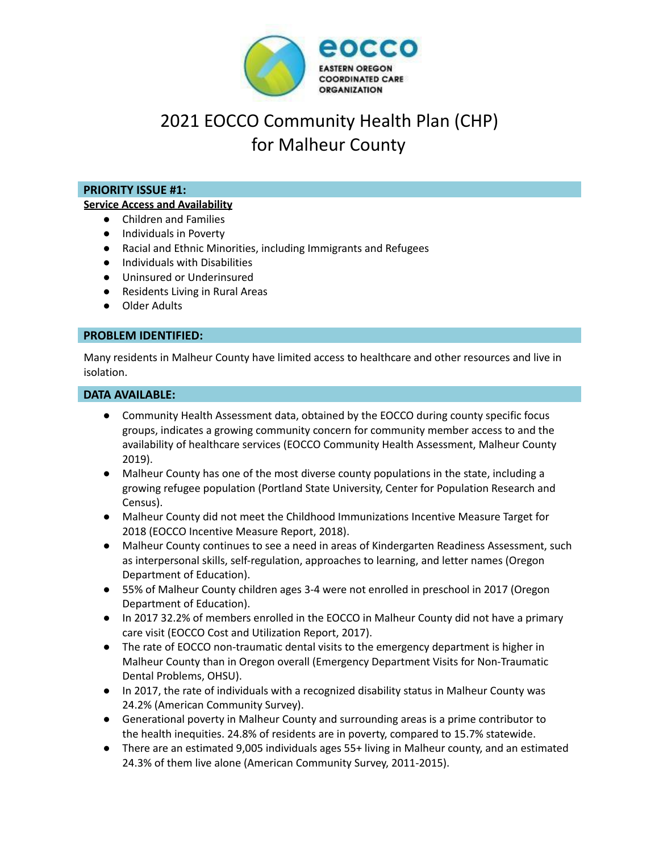

# 2021 EOCCO Community Health Plan (CHP) for Malheur County

# **PRIORITY ISSUE #1:**

#### **Service Access and Availability**

- Children and Families
- Individuals in Poverty
- Racial and Ethnic Minorities, including Immigrants and Refugees
- Individuals with Disabilities
- Uninsured or Underinsured
- Residents Living in Rural Areas
- Older Adults

## **PROBLEM IDENTIFIED:**

Many residents in Malheur County have limited access to healthcare and other resources and live in isolation.

#### **DATA AVAILABLE:**

- Community Health Assessment data, obtained by the EOCCO during county specific focus groups, indicates a growing community concern for community member access to and the availability of healthcare services (EOCCO Community Health Assessment, Malheur County 2019).
- Malheur County has one of the most diverse county populations in the state, including a growing refugee population (Portland State University, Center for Population Research and Census).
- Malheur County did not meet the Childhood Immunizations Incentive Measure Target for 2018 (EOCCO Incentive Measure Report, 2018).
- Malheur County continues to see a need in areas of Kindergarten Readiness Assessment, such as interpersonal skills, self-regulation, approaches to learning, and letter names (Oregon Department of Education).
- 55% of Malheur County children ages 3-4 were not enrolled in preschool in 2017 (Oregon Department of Education).
- In 2017 32.2% of members enrolled in the EOCCO in Malheur County did not have a primary care visit (EOCCO Cost and Utilization Report, 2017).
- The rate of EOCCO non-traumatic dental visits to the emergency department is higher in Malheur County than in Oregon overall (Emergency Department Visits for Non-Traumatic Dental Problems, OHSU).
- In 2017, the rate of individuals with a recognized disability status in Malheur County was 24.2% (American Community Survey).
- Generational poverty in Malheur County and surrounding areas is a prime contributor to the health inequities. 24.8% of residents are in poverty, compared to 15.7% statewide.
- There are an estimated 9,005 individuals ages 55+ living in Malheur county, and an estimated 24.3% of them live alone (American Community Survey, 2011-2015).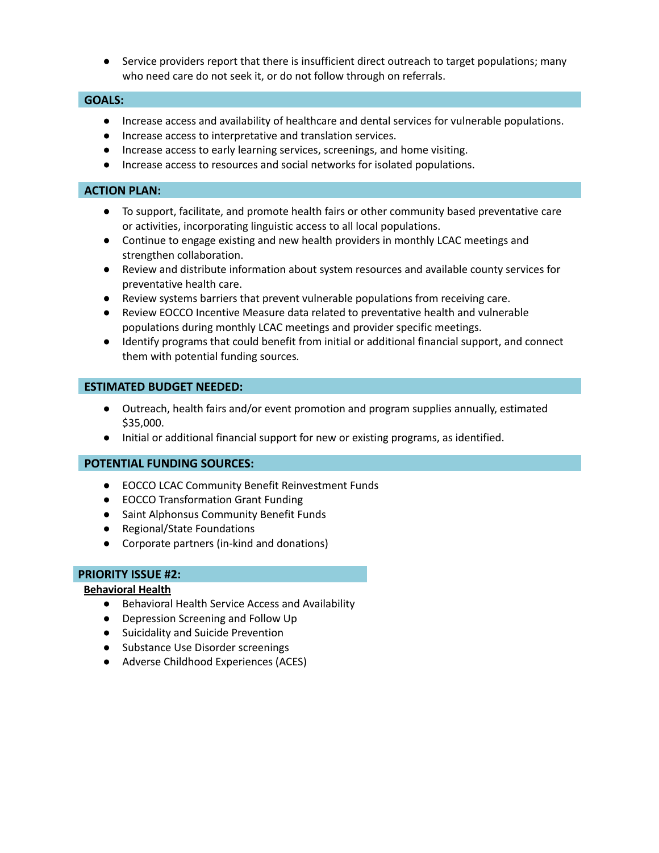Service providers report that there is insufficient direct outreach to target populations; many who need care do not seek it, or do not follow through on referrals.

## **GOALS:**

- Increase access and availability of healthcare and dental services for vulnerable populations.
- Increase access to interpretative and translation services.
- Increase access to early learning services, screenings, and home visiting.
- Increase access to resources and social networks for isolated populations.

## **ACTION PLAN:**

- To support, facilitate, and promote health fairs or other community based preventative care or activities, incorporating linguistic access to all local populations.
- Continue to engage existing and new health providers in monthly LCAC meetings and strengthen collaboration.
- Review and distribute information about system resources and available county services for preventative health care.
- Review systems barriers that prevent vulnerable populations from receiving care.
- Review EOCCO Incentive Measure data related to preventative health and vulnerable populations during monthly LCAC meetings and provider specific meetings.
- *●* Identify programs that could benefit from initial or additional financial support, and connect them with potential funding sources*.*

## **ESTIMATED BUDGET NEEDED:**

- Outreach, health fairs and/or event promotion and program supplies annually, estimated \$35,000.
- Initial or additional financial support for new or existing programs, as identified.

## **POTENTIAL FUNDING SOURCES:**

- EOCCO LCAC Community Benefit Reinvestment Funds
- EOCCO Transformation Grant Funding
- Saint Alphonsus Community Benefit Funds
- Regional/State Foundations
- Corporate partners (in-kind and donations)

## **PRIORITY ISSUE #2:**

## **Behavioral Health**

- Behavioral Health Service Access and Availability
- Depression Screening and Follow Up
- Suicidality and Suicide Prevention
- Substance Use Disorder screenings
- Adverse Childhood Experiences (ACES)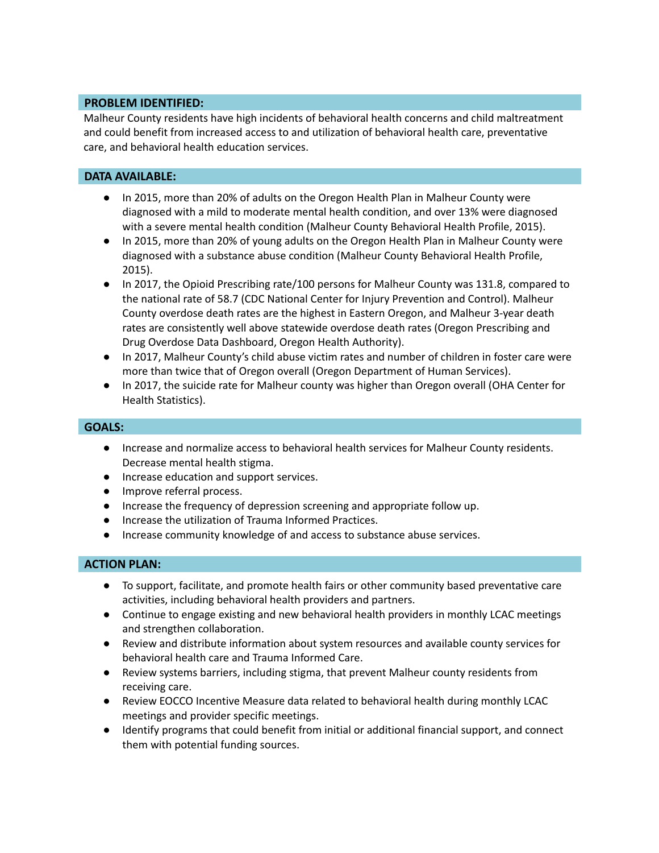# **PROBLEM IDENTIFIED:**

Malheur County residents have high incidents of behavioral health concerns and child maltreatment and could benefit from increased access to and utilization of behavioral health care, preventative care, and behavioral health education services.

## **DATA AVAILABLE:**

- In 2015, more than 20% of adults on the Oregon Health Plan in Malheur County were diagnosed with a mild to moderate mental health condition, and over 13% were diagnosed with a severe mental health condition (Malheur County Behavioral Health Profile, 2015).
- In 2015, more than 20% of young adults on the Oregon Health Plan in Malheur County were diagnosed with a substance abuse condition (Malheur County Behavioral Health Profile, 2015).
- In 2017, the Opioid Prescribing rate/100 persons for Malheur County was 131.8, compared to the national rate of 58.7 (CDC National Center for Injury Prevention and Control). Malheur County overdose death rates are the highest in Eastern Oregon, and Malheur 3-year death rates are consistently well above statewide overdose death rates (Oregon Prescribing and Drug Overdose Data Dashboard, Oregon Health Authority).
- In 2017, Malheur County's child abuse victim rates and number of children in foster care were more than twice that of Oregon overall (Oregon Department of Human Services).
- In 2017, the suicide rate for Malheur county was higher than Oregon overall (OHA Center for Health Statistics).

## **GOALS:**

- Increase and normalize access to behavioral health services for Malheur County residents. Decrease mental health stigma.
- Increase education and support services.
- Improve referral process.
- Increase the frequency of depression screening and appropriate follow up.
- Increase the utilization of Trauma Informed Practices.
- Increase community knowledge of and access to substance abuse services.

# **ACTION PLAN:**

- To support, facilitate, and promote health fairs or other community based preventative care activities, including behavioral health providers and partners.
- Continue to engage existing and new behavioral health providers in monthly LCAC meetings and strengthen collaboration.
- Review and distribute information about system resources and available county services for behavioral health care and Trauma Informed Care.
- Review systems barriers, including stigma, that prevent Malheur county residents from receiving care.
- Review EOCCO Incentive Measure data related to behavioral health during monthly LCAC meetings and provider specific meetings.
- Identify programs that could benefit from initial or additional financial support, and connect them with potential funding sources.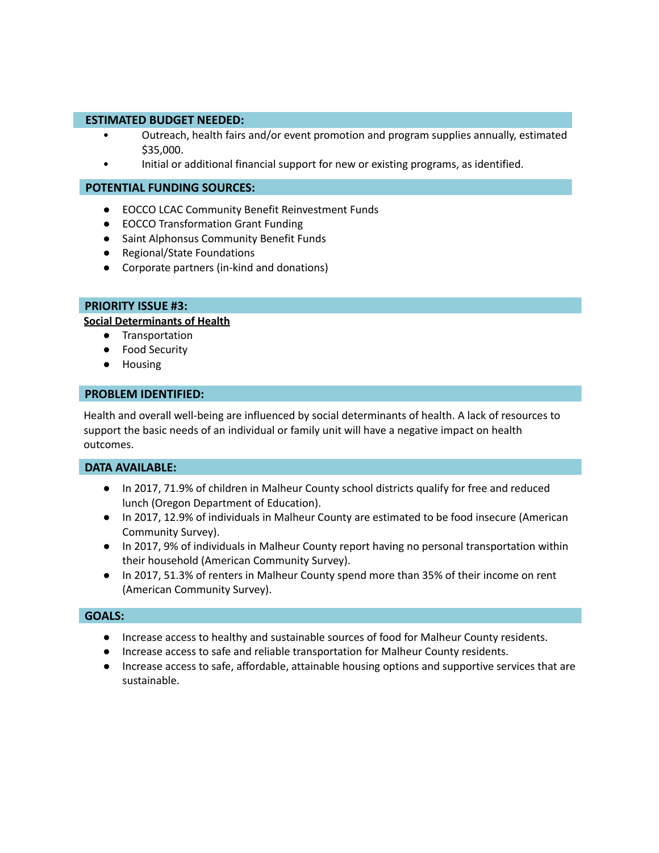#### **ESTIMATED BUDGET NEEDED:**

- Outreach, health fairs and/or event promotion and program supplies annually, estimated \$35,000.
- Initial or additional financial support for new or existing programs, as identified.

#### **POTENTIAL FUNDING SOURCES:**

- EOCCO LCAC Community Benefit Reinvestment Funds
- EOCCO Transformation Grant Funding
- Saint Alphonsus Community Benefit Funds
- Regional/State Foundations
- Corporate partners (in-kind and donations)

#### **PRIORITY ISSUE #3:**

#### **Social Determinants of Health**

- Transportation
- Food Security
- Housing

#### **PROBLEM IDENTIFIED:**

Health and overall well-being are influenced by social determinants of health. A lack of resources to support the basic needs of an individual or family unit will have a negative impact on health outcomes.

## **DATA AVAILABLE:**

- In 2017, 71.9% of children in Malheur County school districts qualify for free and reduced lunch (Oregon Department of Education).
- In 2017, 12.9% of individuals in Malheur County are estimated to be food insecure (American Community Survey).
- In 2017, 9% of individuals in Malheur County report having no personal transportation within their household (American Community Survey).
- In 2017, 51.3% of renters in Malheur County spend more than 35% of their income on rent (American Community Survey).

## **GOALS:**

- Increase access to healthy and sustainable sources of food for Malheur County residents.
- Increase access to safe and reliable transportation for Malheur County residents.
- Increase access to safe, affordable, attainable housing options and supportive services that are sustainable.